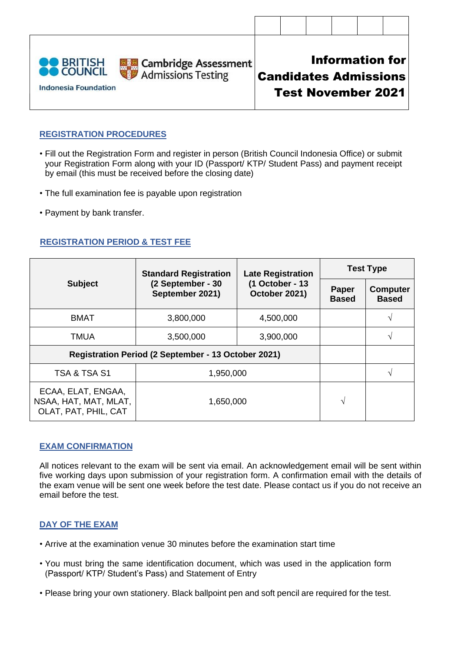| <b>OO BRITISH<br/>OO COUNCIL</b><br><b>Indonesia Foundation</b> | <b>De Cambridge Assessment</b><br>De Admissions Testing |  | <b>Information for</b><br><b>Candidates Admissions</b><br><b>Test November 2021</b> |  |
|-----------------------------------------------------------------|---------------------------------------------------------|--|-------------------------------------------------------------------------------------|--|

# **REGISTRATION PROCEDURES**

- Fill out the Registration Form and register in person (British Council Indonesia Office) or submit your Registration Form along with your ID (Passport/ KTP/ Student Pass) and payment receipt by email (this must be received before the closing date)
- The full examination fee is payable upon registration
- Payment by bank transfer.

# **REGISTRATION PERIOD & TEST FEE**

|                                                                     | <b>Standard Registration</b>         | <b>Late Registration</b>         | <b>Test Type</b>      |                                 |  |
|---------------------------------------------------------------------|--------------------------------------|----------------------------------|-----------------------|---------------------------------|--|
| <b>Subject</b>                                                      | (2 September - 30<br>September 2021) | (1 October - 13<br>October 2021) | Paper<br><b>Based</b> | <b>Computer</b><br><b>Based</b> |  |
| <b>BMAT</b>                                                         | 3,800,000                            | 4,500,000                        |                       | V                               |  |
| <b>TMUA</b>                                                         | 3,500,000                            | 3,900,000                        |                       | V                               |  |
| Registration Period (2 September - 13 October 2021)                 |                                      |                                  |                       |                                 |  |
| TSA & TSA S1                                                        | 1,950,000                            |                                  | N                     |                                 |  |
| ECAA, ELAT, ENGAA,<br>NSAA, HAT, MAT, MLAT,<br>OLAT, PAT, PHIL, CAT | 1,650,000                            | $\sqrt{ }$                       |                       |                                 |  |

### **EXAM CONFIRMATION**

All notices relevant to the exam will be sent via email. An acknowledgement email will be sent within five working days upon submission of your registration form. A confirmation email with the details of the exam venue will be sent one week before the test date. Please contact us if you do not receive an email before the test.

# **DAY OF THE EXAM**

- Arrive at the examination venue 30 minutes before the examination start time
- You must bring the same identification document, which was used in the application form (Passport/ KTP/ Student's Pass) and Statement of Entry
- Please bring your own stationery. Black ballpoint pen and soft pencil are required for the test.